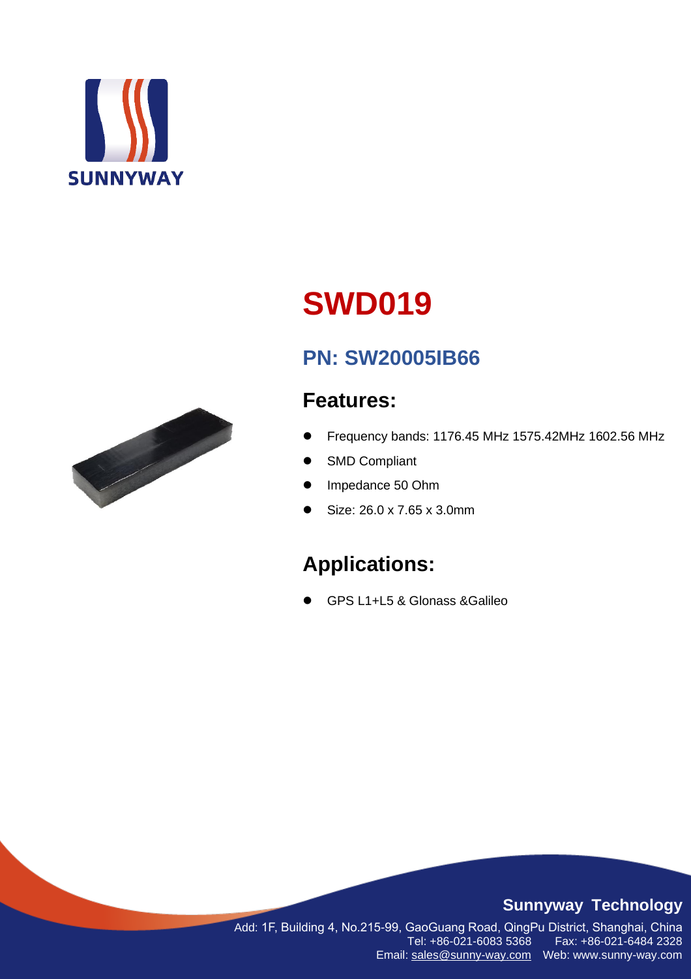

# **SWD019**

## **PN: SW20005IB66**

## **Features:**

- ⚫ Frequency bands: 1176.45 MHz 1575.42MHz 1602.56 MHz
- SMD Compliant
- ⚫ Impedance 50 Ohm
- Size: 26.0 x 7.65 x 3.0mm

# **Applications:**

■ GPS L1+L5 & Glonass &Galileo



## **Sunnyway Technology**

Add: 1F, Building 4, No.215-99, GaoGuang Road, QingPu District, Shanghai, China Tel: +86-021-6083 5368 Fax: +86-021-6484 2328 Email: [sales@sunny-way.com](mailto:sales@sunny-way.com) Web: www.sunny-way.com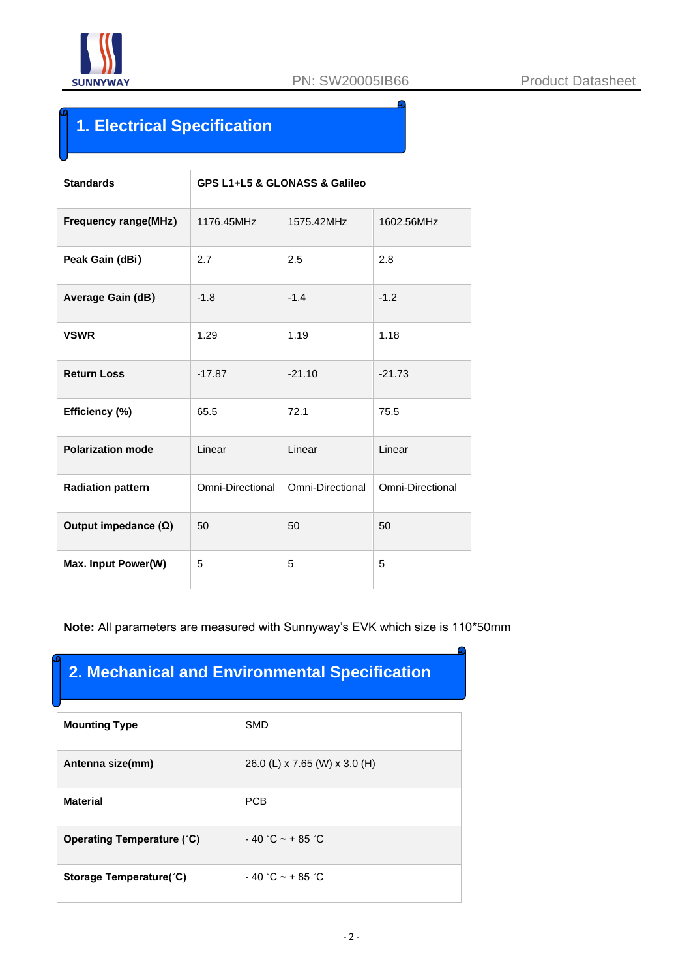

## **1. Electrical Specification**

| <b>Standards</b>            | GPS L1+L5 & GLONASS & Galileo |                  |                  |
|-----------------------------|-------------------------------|------------------|------------------|
| <b>Frequency range(MHz)</b> | 1176.45MHz                    | 1575.42MHz       | 1602.56MHz       |
| Peak Gain (dBi)             | 2.7                           | 2.5              | 2.8              |
| Average Gain (dB)           | $-1.8$                        | $-1.4$           | $-1.2$           |
| <b>VSWR</b>                 | 1.29                          | 1.19             | 1.18             |
| <b>Return Loss</b>          | $-17.87$                      | $-21.10$         | $-21.73$         |
| Efficiency (%)              | 65.5                          | 72.1             | 75.5             |
| <b>Polarization mode</b>    | Linear                        | Linear           | Linear           |
| <b>Radiation pattern</b>    | Omni-Directional              | Omni-Directional | Omni-Directional |
| Output impedance $(\Omega)$ | 50                            | 50               | 50               |
| Max. Input Power(W)         | 5                             | 5                | 5                |

#### **Note:** All parameters are measured with Sunnyway's EVK which size is 110\*50mm

## **2. Mechanical and Environmental Specification**

| <b>Mounting Type</b>              | <b>SMD</b>                    |
|-----------------------------------|-------------------------------|
| Antenna size(mm)                  | 26.0 (L) x 7.65 (W) x 3.0 (H) |
| <b>Material</b>                   | <b>PCB</b>                    |
| <b>Operating Temperature (°C)</b> | $-40$ °C ~ + 85 °C            |
| Storage Temperature(°C)           | $-40$ °C ~ + 85 °C            |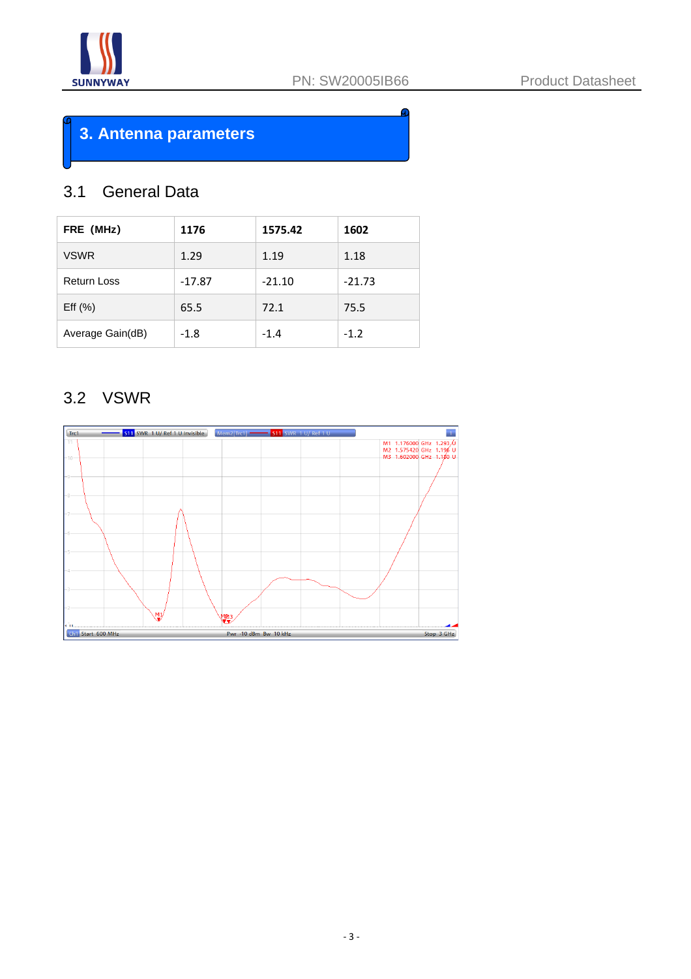

#### **3. Antenna parameters**

#### 3.1 General Data

| FRE (MHz)          | 1176     | 1575.42  | 1602     |
|--------------------|----------|----------|----------|
| <b>VSWR</b>        | 1.29     | 1.19     | 1.18     |
| <b>Return Loss</b> | $-17.87$ | $-21.10$ | $-21.73$ |
| Eff $(% )$         | 65.5     | 72.1     | 75.5     |
| Average Gain(dB)   | $-1.8$   | $-1.4$   | $-1.2$   |

#### 3.2 VSWR

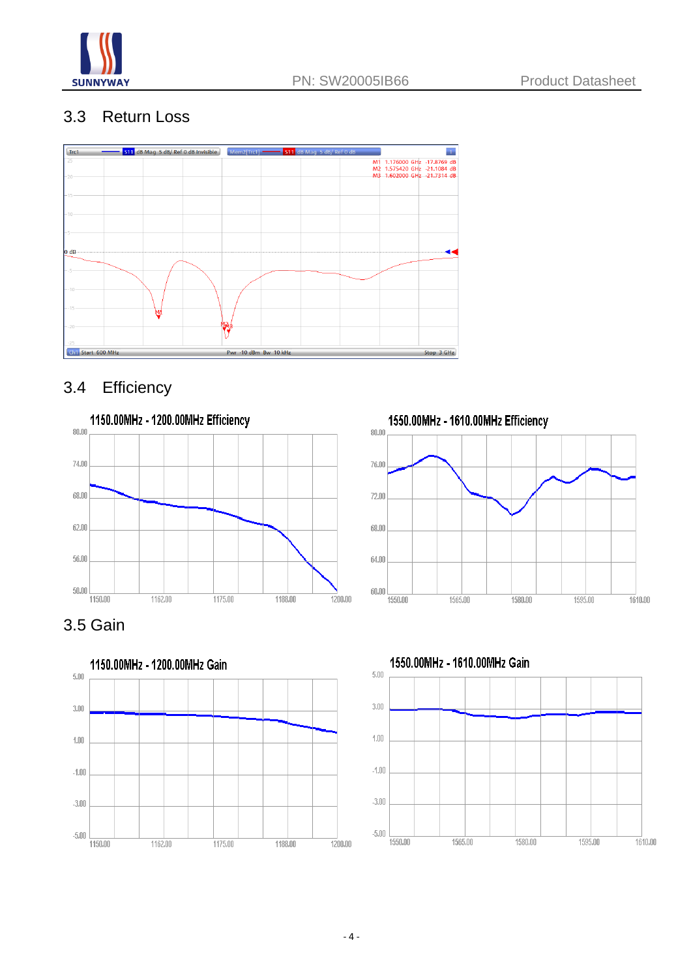

#### 3.3 Return Loss



#### 3.4 Efficiency









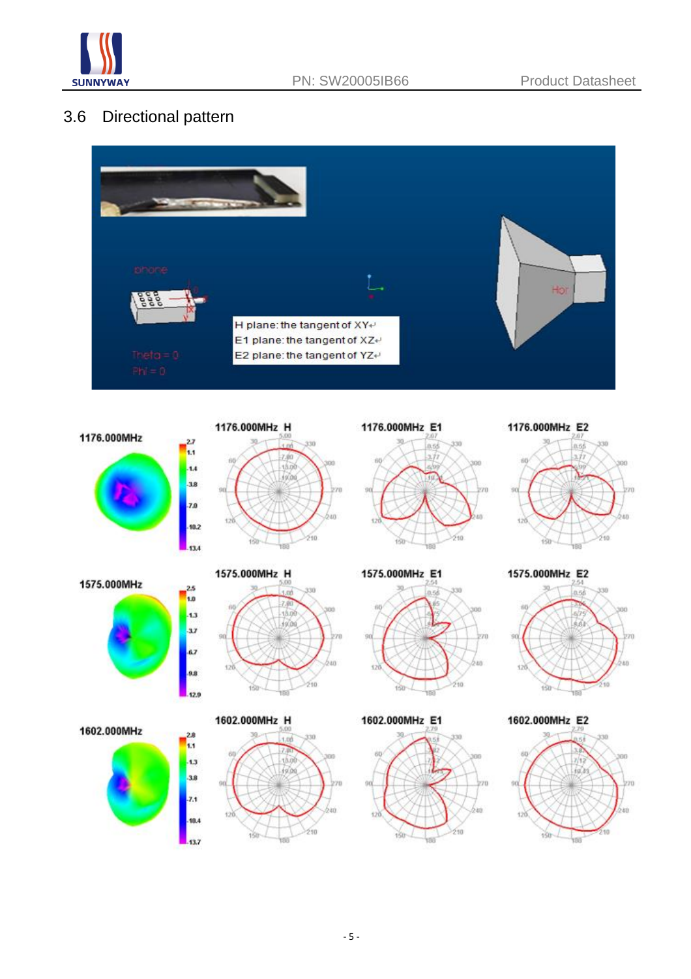

#### 3.6 Directional pattern





1575.000MHz

1602.000MHz





6.7

.9.8

12.9

 $28$ 

**k**  $-1.3$ .3.8  $.7.1$ 

10.4

13.7



 $\overline{1}$ 







 $\frac{1}{1000}$ 

1602.000MHz E1

 $150 -$ 

à

 $210$ 

**VIII** 





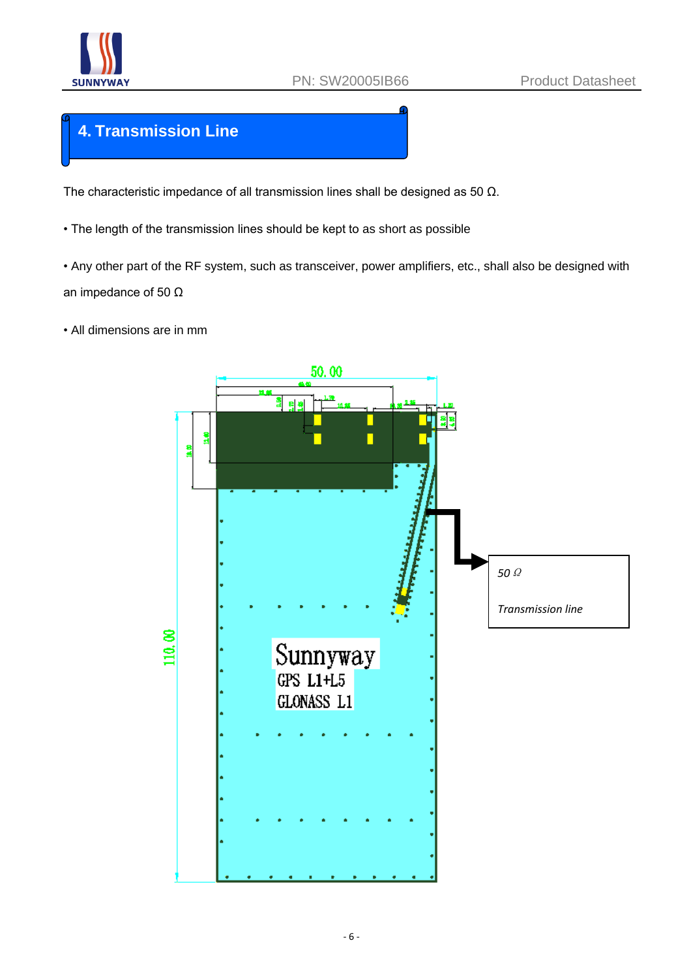

#### **4. Transmission Line**

The characteristic impedance of all transmission lines shall be designed as 50  $\Omega$ .

- The length of the transmission lines should be kept to as short as possible
- Any other part of the RF system, such as transceiver, power amplifiers, etc., shall also be designed with an impedance of 50 Ω
- All dimensions are in mm

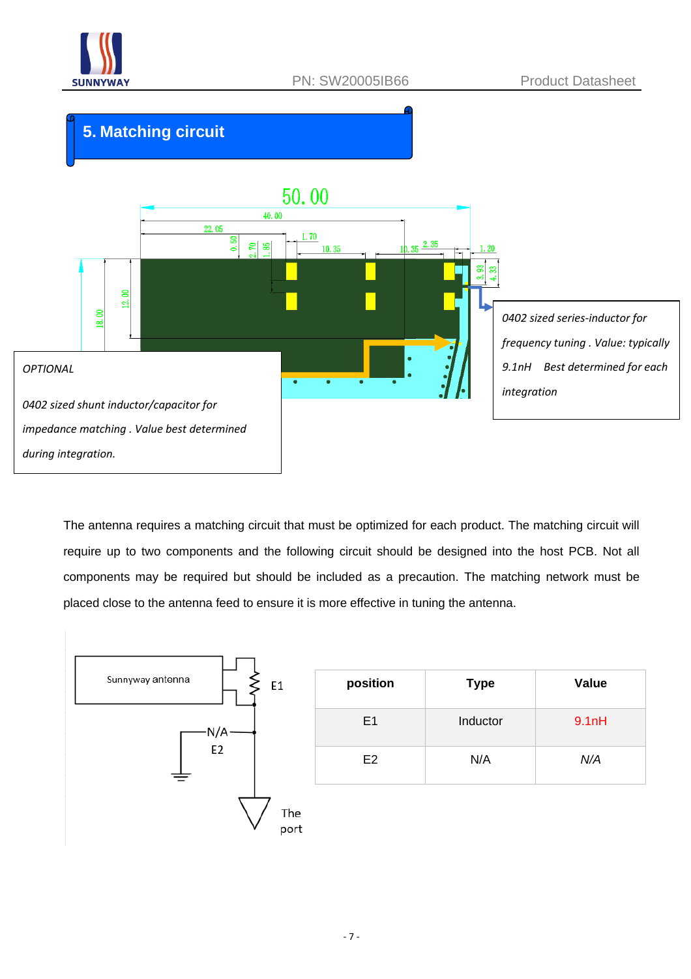

#### **5. Matching circuit**



The antenna requires a matching circuit that must be optimized for each product. The matching circuit will require up to two components and the following circuit should be designed into the host PCB. Not all components may be required but should be included as a precaution. The matching network must be placed close to the antenna feed to ensure it is more effective in tuning the antenna.



| position       | <b>Type</b> | <b>Value</b> |
|----------------|-------------|--------------|
| E1             | Inductor    | 9.1nH        |
| E <sub>2</sub> | N/A         | N/A          |
|                |             |              |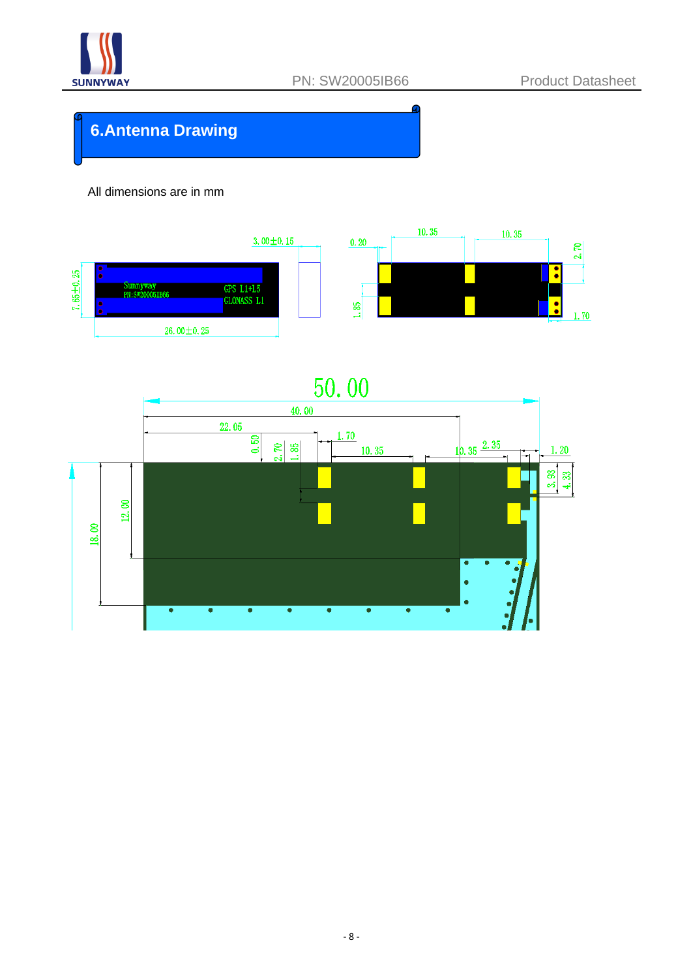

## **6.Antenna Drawing**

All dimensions are in mm